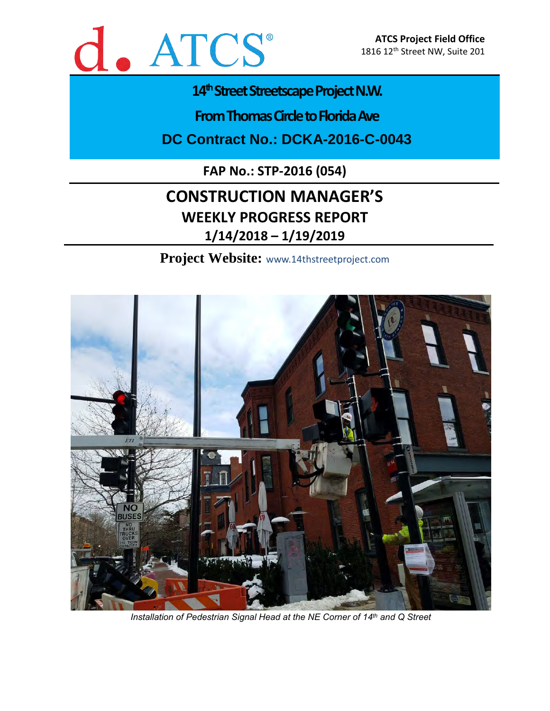

# 14<sup>th</sup> Street Streetscape Project N.W.

**From Thomas Circle to Florida Ave** 

**DC Contract No.: DCKA-2016-C-0043**

**FAP No.: STP-2016 (054)**

# **CONSTRUCTION MANAGER'S WEEKLY PROGRESS REPORT 1/14/2018 – 1/19/2019**

**Project Website:** www.14thstreetproject.com



*Installation of Pedestrian Signal Head at the NE Corner of 14 th and Q Street*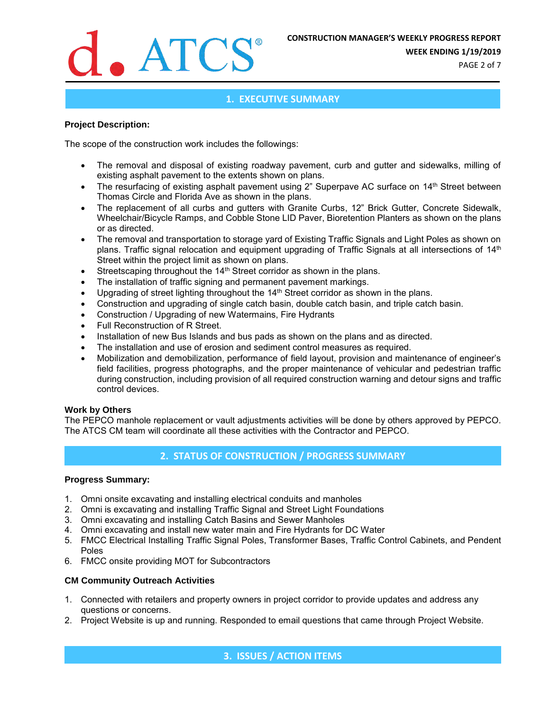

**WEEK ENDING 1/19/2019**

PAGE 2 of 7

### **1. EXECUTIVE SUMMARY**

#### **Project Description:**

The scope of the construction work includes the followings:

- The removal and disposal of existing roadway pavement, curb and gutter and sidewalks, milling of existing asphalt pavement to the extents shown on plans.
- The resurfacing of existing asphalt pavement using 2" Superpave AC surface on 14<sup>th</sup> Street between Thomas Circle and Florida Ave as shown in the plans.
- The replacement of all curbs and gutters with Granite Curbs, 12" Brick Gutter, Concrete Sidewalk, Wheelchair/Bicycle Ramps, and Cobble Stone LID Paver, Bioretention Planters as shown on the plans or as directed.
- The removal and transportation to storage yard of Existing Traffic Signals and Light Poles as shown on plans. Traffic signal relocation and equipment upgrading of Traffic Signals at all intersections of 14<sup>th</sup> Street within the project limit as shown on plans.
- Streetscaping throughout the 14<sup>th</sup> Street corridor as shown in the plans.
- The installation of traffic signing and permanent pavement markings.
- Upgrading of street lighting throughout the 14<sup>th</sup> Street corridor as shown in the plans.
- Construction and upgrading of single catch basin, double catch basin, and triple catch basin.
- Construction / Upgrading of new Watermains, Fire Hydrants
- Full Reconstruction of R Street.
- Installation of new Bus Islands and bus pads as shown on the plans and as directed.
- The installation and use of erosion and sediment control measures as required.
- Mobilization and demobilization, performance of field layout, provision and maintenance of engineer's field facilities, progress photographs, and the proper maintenance of vehicular and pedestrian traffic during construction, including provision of all required construction warning and detour signs and traffic control devices.

#### **Work by Others**

The PEPCO manhole replacement or vault adjustments activities will be done by others approved by PEPCO. The ATCS CM team will coordinate all these activities with the Contractor and PEPCO.

## **2. STATUS OF CONSTRUCTION / PROGRESS SUMMARY**

#### **Progress Summary:**

- 1. Omni onsite excavating and installing electrical conduits and manholes
- 2. Omni is excavating and installing Traffic Signal and Street Light Foundations
- 3. Omni excavating and installing Catch Basins and Sewer Manholes
- 4. Omni excavating and install new water main and Fire Hydrants for DC Water
- 5. FMCC Electrical Installing Traffic Signal Poles, Transformer Bases, Traffic Control Cabinets, and Pendent Poles
- 6. FMCC onsite providing MOT for Subcontractors

#### **CM Community Outreach Activities**

- 1. Connected with retailers and property owners in project corridor to provide updates and address any questions or concerns.
- 2. Project Website is up and running. Responded to email questions that came through Project Website.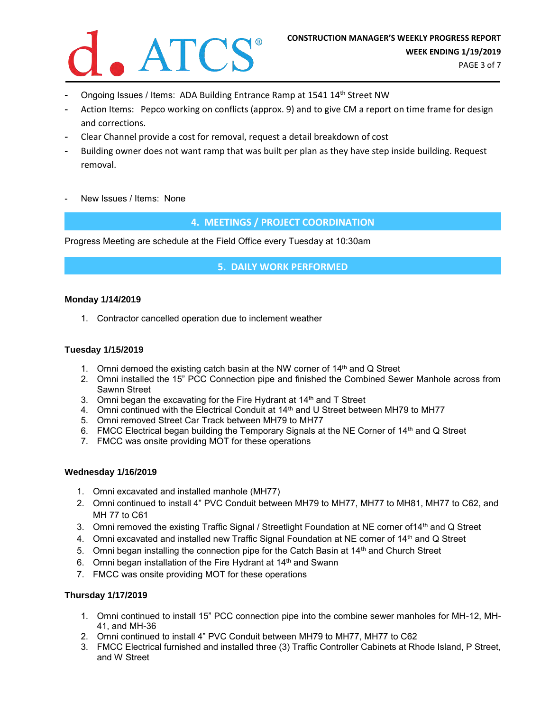

- Ongoing Issues / Items: ADA Building Entrance Ramp at 1541 14<sup>th</sup> Street NW
- Action Items: Pepco working on conflicts (approx. 9) and to give CM a report on time frame for design and corrections.
- Clear Channel provide a cost for removal, request a detail breakdown of cost
- Building owner does not want ramp that was built per plan as they have step inside building. Request removal.
- New Issues / Items: None

**4. MEETINGS / PROJECT COORDINATION**

Progress Meeting are schedule at the Field Office every Tuesday at 10:30am

**5. DAILY WORK PERFORMED**

#### **Monday 1/14/2019**

1. Contractor cancelled operation due to inclement weather

#### **Tuesday 1/15/2019**

- 1. Omni demoed the existing catch basin at the NW corner of  $14<sup>th</sup>$  and Q Street
- 2. Omni installed the 15" PCC Connection pipe and finished the Combined Sewer Manhole across from Sawnn Street
- 3. Omni began the excavating for the Fire Hydrant at 14<sup>th</sup> and T Street
- 4. Omni continued with the Electrical Conduit at 14<sup>th</sup> and U Street between MH79 to MH77
- 5. Omni removed Street Car Track between MH79 to MH77
- 6. FMCC Electrical began building the Temporary Signals at the NE Corner of 14<sup>th</sup> and Q Street
- 7. FMCC was onsite providing MOT for these operations

#### **Wednesday 1/16/2019**

- 1. Omni excavated and installed manhole (MH77)
- 2. Omni continued to install 4" PVC Conduit between MH79 to MH77, MH77 to MH81, MH77 to C62, and MH 77 to C61
- 3. Omni removed the existing Traffic Signal / Streetlight Foundation at NE corner of 14<sup>th</sup> and Q Street
- 4. Omni excavated and installed new Traffic Signal Foundation at NE corner of 14<sup>th</sup> and Q Street
- 5. Omni began installing the connection pipe for the Catch Basin at  $14<sup>th</sup>$  and Church Street
- 6. Omni began installation of the Fire Hydrant at 14<sup>th</sup> and Swann
- 7. FMCC was onsite providing MOT for these operations

#### **Thursday 1/17/2019**

- 1. Omni continued to install 15" PCC connection pipe into the combine sewer manholes for MH-12, MH-41, and MH-36
- 2. Omni continued to install 4" PVC Conduit between MH79 to MH77, MH77 to C62
- 3. FMCC Electrical furnished and installed three (3) Traffic Controller Cabinets at Rhode Island, P Street, and W Street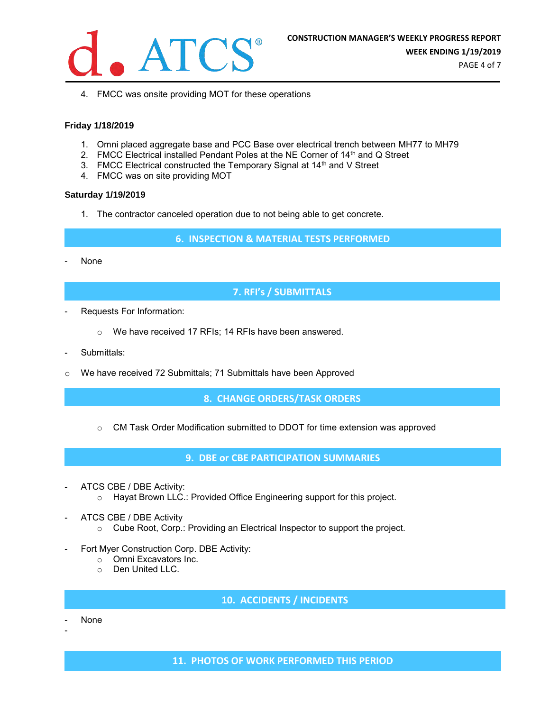

4. FMCC was onsite providing MOT for these operations

#### **Friday 1/18/2019**

- 1. Omni placed aggregate base and PCC Base over electrical trench between MH77 to MH79
- 2. FMCC Electrical installed Pendant Poles at the NE Corner of 14<sup>th</sup> and Q Street
- 3. FMCC Electrical constructed the Temporary Signal at 14<sup>th</sup> and V Street
- 4. FMCC was on site providing MOT

#### **Saturday 1/19/2019**

1. The contractor canceled operation due to not being able to get concrete.

**6. INSPECTION & MATERIAL TESTS PERFORMED**

None

## **7. RFI's / SUBMITTALS**

- Requests For Information:
	- o We have received 17 RFIs; 14 RFIs have been answered.
- Submittals:
- o We have received 72 Submittals; 71 Submittals have been Approved

**8. CHANGE ORDERS/TASK ORDERS**

 $\circ$  CM Task Order Modification submitted to DDOT for time extension was approved

**9. DBE or CBE PARTICIPATION SUMMARIES**

- ATCS CBE / DBE Activity: o Hayat Brown LLC.: Provided Office Engineering support for this project.
- ATCS CBE / DBE Activity
	- o Cube Root, Corp.: Providing an Electrical Inspector to support the project.
- Fort Myer Construction Corp. DBE Activity:
	- o Omni Excavators Inc.
	- o Den United LLC.

## **10. ACCIDENTS / INCIDENTS**

- None

-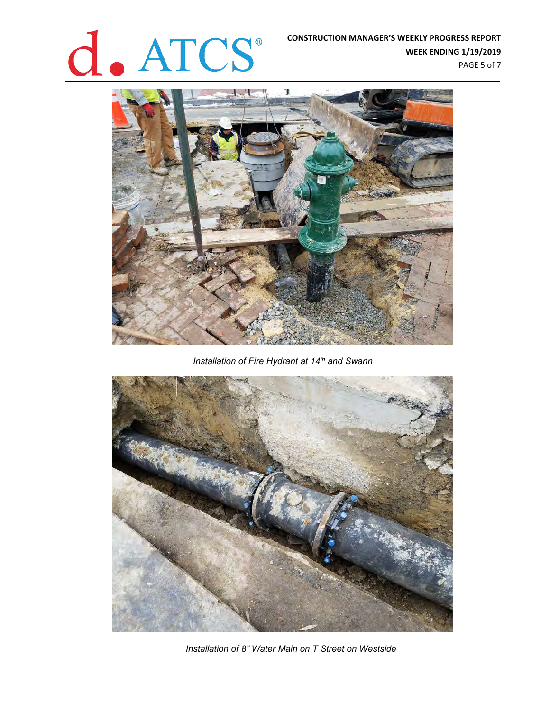# **CONSTRUCTION MANAGER'S WEEKLY PROGRESS REPORT<br>WEEK ENDING 1/19/2019**

**WEEK ENDING 1/19/2019** PAGE 5 of 7



*Installation of Fire Hydrant at 14th and Swann*



*Installation of 8" Water Main on T Street on Westside*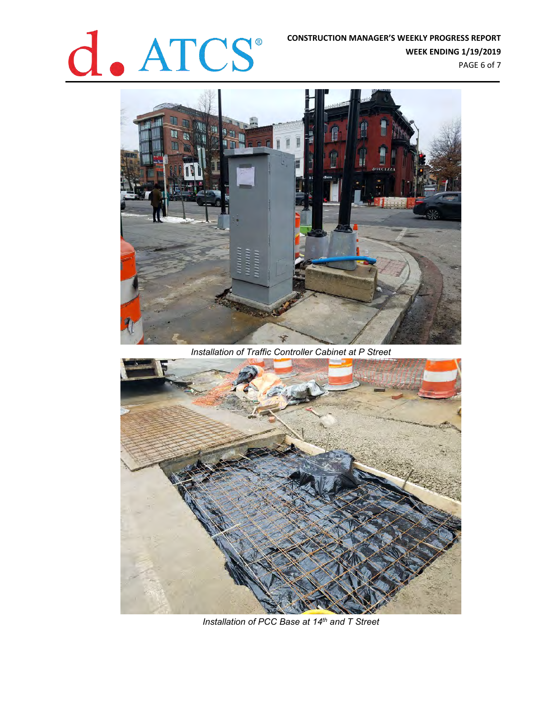# **CONSTRUCTION MANAGER'S WEEKLY PROGRESS REPORT<br>WEEK ENDING 1/19/2019**<br>PAGE 6 of 7

**WEEK ENDING 1/19/2019** PAGE 6 of 7



*Installation of Traffic Controller Cabinet at P Street*



*Installation of PCC Base at 14th and T Street*